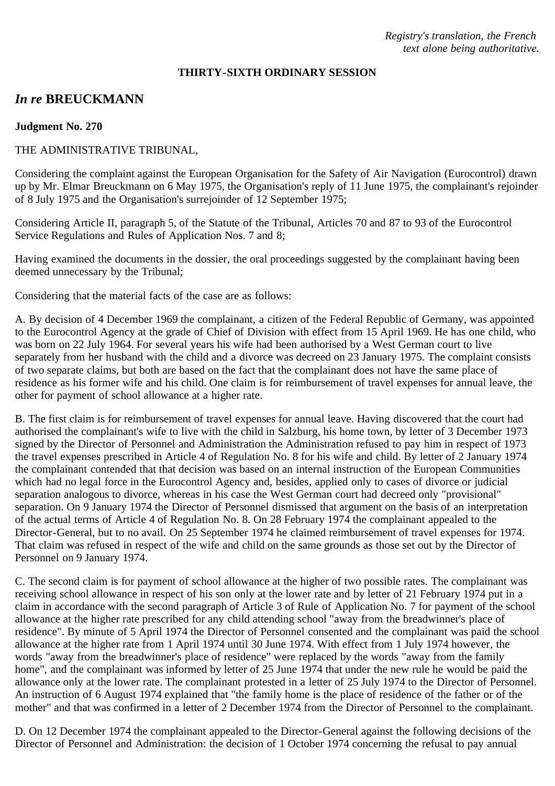*Registry's translation, the French text alone being authoritative.*

#### **THIRTY-SIXTH ORDINARY SESSION**

# *In re* **BREUCKMANN**

#### **Judgment No. 270**

### THE ADMINISTRATIVE TRIBUNAL,

Considering the complaint against the European Organisation for the Safety of Air Navigation (Eurocontrol) drawn up by Mr. Elmar Breuckmann on 6 May 1975, the Organisation's reply of 11 June 1975, the complainant's rejoinder of 8 July 1975 and the Organisation's surrejoinder of 12 September 1975;

Considering Article II, paragraph 5, of the Statute of the Tribunal, Articles 70 and 87 to 93 of the Eurocontrol Service Regulations and Rules of Application Nos. 7 and 8;

Having examined the documents in the dossier, the oral proceedings suggested by the complainant having been deemed unnecessary by the Tribunal;

Considering that the material facts of the case are as follows:

A. By decision of 4 December 1969 the complainant, a citizen of the Federal Republic of Germany, was appointed to the Eurocontrol Agency at the grade of Chief of Division with effect from 15 April 1969. He has one child, who was born on 22 July 1964. For several years his wife had been authorised by a West German court to live separately from her husband with the child and a divorce was decreed on 23 January 1975. The complaint consists of two separate claims, but both are based on the fact that the complainant does not have the same place of residence as his former wife and his child. One claim is for reimbursement of travel expenses for annual leave, the other for payment of school allowance at a higher rate.

B. The first claim is for reimbursement of travel expenses for annual leave. Having discovered that the court had authorised the complainant's wife to live with the child in Salzburg, his home town, by letter of 3 December 1973 signed by the Director of Personnel and Administration the Administration refused to pay him in respect of 1973 the travel expenses prescribed in Article 4 of Regulation No. 8 for his wife and child. By letter of 2 January 1974 the complainant contended that that decision was based on an internal instruction of the European Communities which had no legal force in the Eurocontrol Agency and, besides, applied only to cases of divorce or judicial separation analogous to divorce, whereas in his case the West German court had decreed only "provisional" separation. On 9 January 1974 the Director of Personnel dismissed that argument on the basis of an interpretation of the actual terms of Article 4 of Regulation No. 8. On 28 February 1974 the complainant appealed to the Director-General, but to no avail. On 25 September 1974 he claimed reimbursement of travel expenses for 1974. That claim was refused in respect of the wife and child on the same grounds as those set out by the Director of Personnel on 9 January 1974.

C. The second claim is for payment of school allowance at the higher of two possible rates. The complainant was receiving school allowance in respect of his son only at the lower rate and by letter of 21 February 1974 put in a claim in accordance with the second paragraph of Article 3 of Rule of Application No. 7 for payment of the school allowance at the higher rate prescribed for any child attending school "away from the breadwinner's place of residence". By minute of 5 April 1974 the Director of Personnel consented and the complainant was paid the school allowance at the higher rate from 1 April 1974 until 30 June 1974. With effect from 1 July 1974 however, the words "away from the breadwinner's place of residence" were replaced by the words "away from the family home", and the complainant was informed by letter of 25 June 1974 that under the new rule he would be paid the allowance only at the lower rate. The complainant protested in a letter of 25 July 1974 to the Director of Personnel. An instruction of 6 August 1974 explained that "the family home is the place of residence of the father or of the mother" and that was confirmed in a letter of 2 December 1974 from the Director of Personnel to the complainant.

D. On 12 December 1974 the complainant appealed to the Director-General against the following decisions of the Director of Personnel and Administration: the decision of 1 October 1974 concerning the refusal to pay annual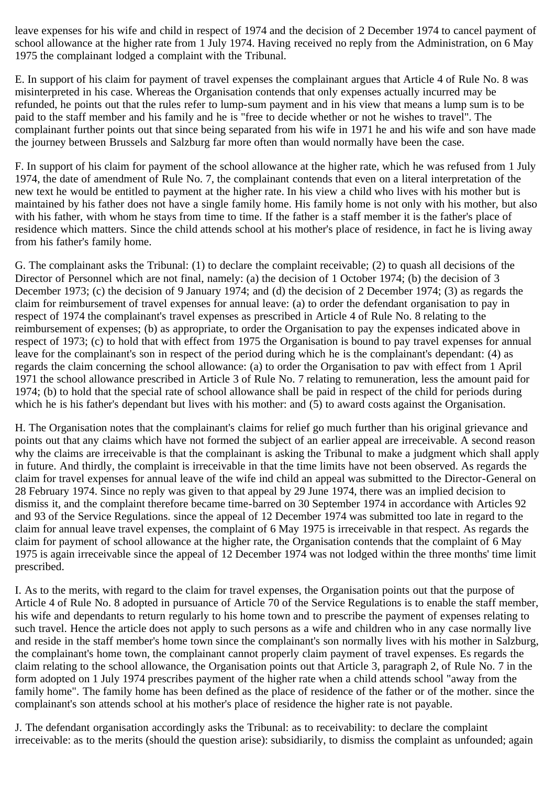leave expenses for his wife and child in respect of 1974 and the decision of 2 December 1974 to cancel payment of school allowance at the higher rate from 1 July 1974. Having received no reply from the Administration, on 6 May 1975 the complainant lodged a complaint with the Tribunal.

E. In support of his claim for payment of travel expenses the complainant argues that Article 4 of Rule No. 8 was misinterpreted in his case. Whereas the Organisation contends that only expenses actually incurred may be refunded, he points out that the rules refer to lump-sum payment and in his view that means a lump sum is to be paid to the staff member and his family and he is "free to decide whether or not he wishes to travel". The complainant further points out that since being separated from his wife in 1971 he and his wife and son have made the journey between Brussels and Salzburg far more often than would normally have been the case.

F. In support of his claim for payment of the school allowance at the higher rate, which he was refused from 1 July 1974, the date of amendment of Rule No. 7, the complainant contends that even on a literal interpretation of the new text he would be entitled to payment at the higher rate. In his view a child who lives with his mother but is maintained by his father does not have a single family home. His family home is not only with his mother, but also with his father, with whom he stays from time to time. If the father is a staff member it is the father's place of residence which matters. Since the child attends school at his mother's place of residence, in fact he is living away from his father's family home.

G. The complainant asks the Tribunal: (1) to declare the complaint receivable; (2) to quash all decisions of the Director of Personnel which are not final, namely: (a) the decision of 1 October 1974; (b) the decision of 3 December 1973; (c) the decision of 9 January 1974; and (d) the decision of 2 December 1974; (3) as regards the claim for reimbursement of travel expenses for annual leave: (a) to order the defendant organisation to pay in respect of 1974 the complainant's travel expenses as prescribed in Article 4 of Rule No. 8 relating to the reimbursement of expenses; (b) as appropriate, to order the Organisation to pay the expenses indicated above in respect of 1973; (c) to hold that with effect from 1975 the Organisation is bound to pay travel expenses for annual leave for the complainant's son in respect of the period during which he is the complainant's dependant: (4) as regards the claim concerning the school allowance: (a) to order the Organisation to pav with effect from 1 April 1971 the school allowance prescribed in Article 3 of Rule No. 7 relating to remuneration, less the amount paid for 1974; (b) to hold that the special rate of school allowance shall be paid in respect of the child for periods during which he is his father's dependant but lives with his mother: and (5) to award costs against the Organisation.

H. The Organisation notes that the complainant's claims for relief go much further than his original grievance and points out that any claims which have not formed the subject of an earlier appeal are irreceivable. A second reason why the claims are irreceivable is that the complainant is asking the Tribunal to make a judgment which shall apply in future. And thirdly, the complaint is irreceivable in that the time limits have not been observed. As regards the claim for travel expenses for annual leave of the wife ind child an appeal was submitted to the Director-General on 28 February 1974. Since no reply was given to that appeal by 29 June 1974, there was an implied decision to dismiss it, and the complaint therefore became time-barred on 30 September 1974 in accordance with Articles 92 and 93 of the Service Regulations. since the appeal of 12 December 1974 was submitted too late in regard to the claim for annual leave travel expenses, the complaint of 6 May 1975 is irreceivable in that respect. As regards the claim for payment of school allowance at the higher rate, the Organisation contends that the complaint of 6 May 1975 is again irreceivable since the appeal of 12 December 1974 was not lodged within the three months' time limit prescribed.

I. As to the merits, with regard to the claim for travel expenses, the Organisation points out that the purpose of Article 4 of Rule No. 8 adopted in pursuance of Article 70 of the Service Regulations is to enable the staff member, his wife and dependants to return regularly to his home town and to prescribe the payment of expenses relating to such travel. Hence the article does not apply to such persons as a wife and children who in any case normally live and reside in the staff member's home town since the complainant's son normally lives with his mother in Salzburg, the complainant's home town, the complainant cannot properly claim payment of travel expenses. Es regards the claim relating to the school allowance, the Organisation points out that Article 3, paragraph 2, of Rule No. 7 in the form adopted on 1 July 1974 prescribes payment of the higher rate when a child attends school "away from the family home". The family home has been defined as the place of residence of the father or of the mother. since the complainant's son attends school at his mother's place of residence the higher rate is not payable.

J. The defendant organisation accordingly asks the Tribunal: as to receivability: to declare the complaint irreceivable: as to the merits (should the question arise): subsidiarily, to dismiss the complaint as unfounded; again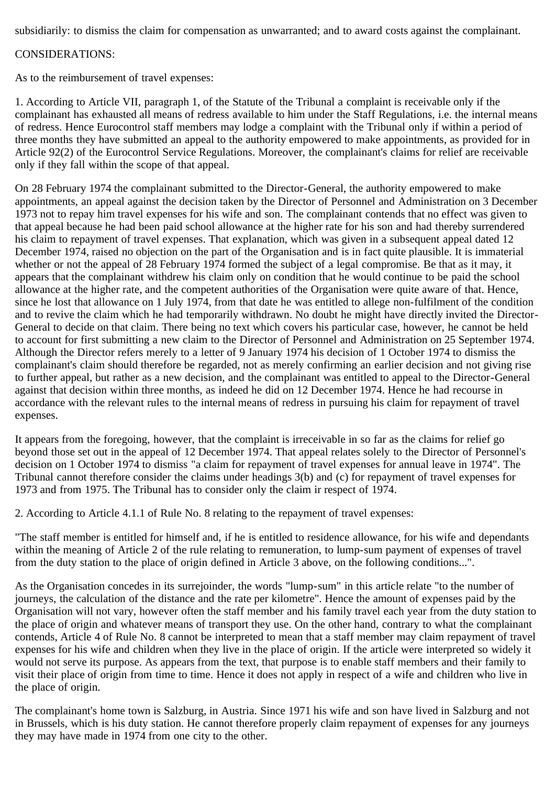subsidiarily: to dismiss the claim for compensation as unwarranted; and to award costs against the complainant.

## CONSIDERATIONS:

As to the reimbursement of travel expenses:

1. According to Article VII, paragraph 1, of the Statute of the Tribunal a complaint is receivable only if the complainant has exhausted all means of redress available to him under the Staff Regulations, i.e. the internal means of redress. Hence Eurocontrol staff members may lodge a complaint with the Tribunal only if within a period of three months they have submitted an appeal to the authority empowered to make appointments, as provided for in Article 92(2) of the Eurocontrol Service Regulations. Moreover, the complainant's claims for relief are receivable only if they fall within the scope of that appeal.

On 28 February 1974 the complainant submitted to the Director-General, the authority empowered to make appointments, an appeal against the decision taken by the Director of Personnel and Administration on 3 December 1973 not to repay him travel expenses for his wife and son. The complainant contends that no effect was given to that appeal because he had been paid school allowance at the higher rate for his son and had thereby surrendered his claim to repayment of travel expenses. That explanation, which was given in a subsequent appeal dated 12 December 1974, raised no objection on the part of the Organisation and is in fact quite plausible. It is immaterial whether or not the appeal of 28 February 1974 formed the subject of a legal compromise. Be that as it may, it appears that the complainant withdrew his claim only on condition that he would continue to be paid the school allowance at the higher rate, and the competent authorities of the Organisation were quite aware of that. Hence, since he lost that allowance on 1 July 1974, from that date he was entitled to allege non-fulfilment of the condition and to revive the claim which he had temporarily withdrawn. No doubt he might have directly invited the Director-General to decide on that claim. There being no text which covers his particular case, however, he cannot be held to account for first submitting a new claim to the Director of Personnel and Administration on 25 September 1974. Although the Director refers merely to a letter of 9 January 1974 his decision of 1 October 1974 to dismiss the complainant's claim should therefore be regarded, not as merely confirming an earlier decision and not giving rise to further appeal, but rather as a new decision, and the complainant was entitled to appeal to the Director-General against that decision within three months, as indeed he did on 12 December 1974. Hence he had recourse in accordance with the relevant rules to the internal means of redress in pursuing his claim for repayment of travel expenses.

It appears from the foregoing, however, that the complaint is irreceivable in so far as the claims for relief go beyond those set out in the appeal of 12 December 1974. That appeal relates solely to the Director of Personnel's decision on 1 October 1974 to dismiss "a claim for repayment of travel expenses for annual leave in 1974". The Tribunal cannot therefore consider the claims under headings 3(b) and (c) for repayment of travel expenses for 1973 and from 1975. The Tribunal has to consider only the claim ir respect of 1974.

2. According to Article 4.1.1 of Rule No. 8 relating to the repayment of travel expenses:

"The staff member is entitled for himself and, if he is entitled to residence allowance, for his wife and dependants within the meaning of Article 2 of the rule relating to remuneration, to lump-sum payment of expenses of travel from the duty station to the place of origin defined in Article 3 above, on the following conditions...".

As the Organisation concedes in its surrejoinder, the words "lump-sum" in this article relate "to the number of journeys, the calculation of the distance and the rate per kilometre". Hence the amount of expenses paid by the Organisation will not vary, however often the staff member and his family travel each year from the duty station to the place of origin and whatever means of transport they use. On the other hand, contrary to what the complainant contends, Article 4 of Rule No. 8 cannot be interpreted to mean that a staff member may claim repayment of travel expenses for his wife and children when they live in the place of origin. If the article were interpreted so widely it would not serve its purpose. As appears from the text, that purpose is to enable staff members and their family to visit their place of origin from time to time. Hence it does not apply in respect of a wife and children who live in the place of origin.

The complainant's home town is Salzburg, in Austria. Since 1971 his wife and son have lived in Salzburg and not in Brussels, which is his duty station. He cannot therefore properly claim repayment of expenses for any journeys they may have made in 1974 from one city to the other.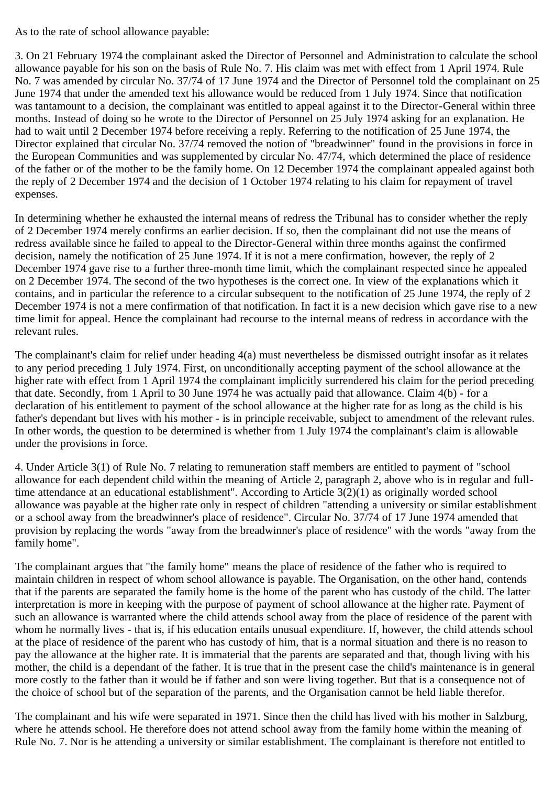As to the rate of school allowance payable:

3. On 21 February 1974 the complainant asked the Director of Personnel and Administration to calculate the school allowance payable for his son on the basis of Rule No. 7. His claim was met with effect from 1 April 1974. Rule No. 7 was amended by circular No. 37/74 of 17 June 1974 and the Director of Personnel told the complainant on 25 June 1974 that under the amended text his allowance would be reduced from 1 July 1974. Since that notification was tantamount to a decision, the complainant was entitled to appeal against it to the Director-General within three months. Instead of doing so he wrote to the Director of Personnel on 25 July 1974 asking for an explanation. He had to wait until 2 December 1974 before receiving a reply. Referring to the notification of 25 June 1974, the Director explained that circular No. 37/74 removed the notion of "breadwinner" found in the provisions in force in the European Communities and was supplemented by circular No. 47/74, which determined the place of residence of the father or of the mother to be the family home. On 12 December 1974 the complainant appealed against both the reply of 2 December 1974 and the decision of 1 October 1974 relating to his claim for repayment of travel expenses.

In determining whether he exhausted the internal means of redress the Tribunal has to consider whether the reply of 2 December 1974 merely confirms an earlier decision. If so, then the complainant did not use the means of redress available since he failed to appeal to the Director-General within three months against the confirmed decision, namely the notification of 25 June 1974. If it is not a mere confirmation, however, the reply of 2 December 1974 gave rise to a further three-month time limit, which the complainant respected since he appealed on 2 December 1974. The second of the two hypotheses is the correct one. In view of the explanations which it contains, and in particular the reference to a circular subsequent to the notification of 25 June 1974, the reply of 2 December 1974 is not a mere confirmation of that notification. In fact it is a new decision which gave rise to a new time limit for appeal. Hence the complainant had recourse to the internal means of redress in accordance with the relevant rules.

The complainant's claim for relief under heading 4(a) must nevertheless be dismissed outright insofar as it relates to any period preceding 1 July 1974. First, on unconditionally accepting payment of the school allowance at the higher rate with effect from 1 April 1974 the complainant implicitly surrendered his claim for the period preceding that date. Secondly, from 1 April to 30 June 1974 he was actually paid that allowance. Claim 4(b) - for a declaration of his entitlement to payment of the school allowance at the higher rate for as long as the child is his father's dependant but lives with his mother - is in principle receivable, subject to amendment of the relevant rules. In other words, the question to be determined is whether from 1 July 1974 the complainant's claim is allowable under the provisions in force.

4. Under Article 3(1) of Rule No. 7 relating to remuneration staff members are entitled to payment of "school allowance for each dependent child within the meaning of Article 2, paragraph 2, above who is in regular and fulltime attendance at an educational establishment". According to Article 3(2)(1) as originally worded school allowance was payable at the higher rate only in respect of children "attending a university or similar establishment or a school away from the breadwinner's place of residence". Circular No. 37/74 of 17 June 1974 amended that provision by replacing the words "away from the breadwinner's place of residence" with the words "away from the family home".

The complainant argues that "the family home" means the place of residence of the father who is required to maintain children in respect of whom school allowance is payable. The Organisation, on the other hand, contends that if the parents are separated the family home is the home of the parent who has custody of the child. The latter interpretation is more in keeping with the purpose of payment of school allowance at the higher rate. Payment of such an allowance is warranted where the child attends school away from the place of residence of the parent with whom he normally lives - that is, if his education entails unusual expenditure. If, however, the child attends school at the place of residence of the parent who has custody of him, that is a normal situation and there is no reason to pay the allowance at the higher rate. It is immaterial that the parents are separated and that, though living with his mother, the child is a dependant of the father. It is true that in the present case the child's maintenance is in general more costly to the father than it would be if father and son were living together. But that is a consequence not of the choice of school but of the separation of the parents, and the Organisation cannot be held liable therefor.

The complainant and his wife were separated in 1971. Since then the child has lived with his mother in Salzburg, where he attends school. He therefore does not attend school away from the family home within the meaning of Rule No. 7. Nor is he attending a university or similar establishment. The complainant is therefore not entitled to